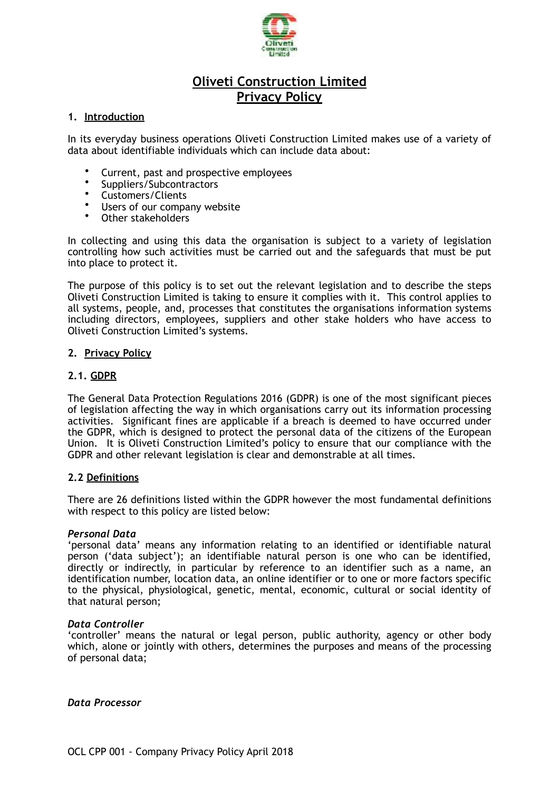

# **Oliveti Construction Limited Privacy Policy**

#### **1. Introduction**

In its everyday business operations Oliveti Construction Limited makes use of a variety of data about identifiable individuals which can include data about:

- Current, past and prospective employees
- Suppliers/Subcontractors
- Customers/Clients
- Users of our company website
- Other stakeholders

In collecting and using this data the organisation is subject to a variety of legislation controlling how such activities must be carried out and the safeguards that must be put into place to protect it.

The purpose of this policy is to set out the relevant legislation and to describe the steps Oliveti Construction Limited is taking to ensure it complies with it. This control applies to all systems, people, and, processes that constitutes the organisations information systems including directors, employees, suppliers and other stake holders who have access to Oliveti Construction Limited's systems.

#### **2. Privacy Policy**

#### **2.1. GDPR**

The General Data Protection Regulations 2016 (GDPR) is one of the most significant pieces of legislation affecting the way in which organisations carry out its information processing activities. Significant fines are applicable if a breach is deemed to have occurred under the GDPR, which is designed to protect the personal data of the citizens of the European Union. It is Oliveti Construction Limited's policy to ensure that our compliance with the GDPR and other relevant legislation is clear and demonstrable at all times.

#### **2.2 Definitions**

There are 26 definitions listed within the GDPR however the most fundamental definitions with respect to this policy are listed below:

#### *Personal Data*

'personal data' means any information relating to an identified or identifiable natural person ('data subject'); an identifiable natural person is one who can be identified, directly or indirectly, in particular by reference to an identifier such as a name, an identification number, location data, an online identifier or to one or more factors specific to the physical, physiological, genetic, mental, economic, cultural or social identity of that natural person;

#### *Data Controller*

'controller' means the natural or legal person, public authority, agency or other body which, alone or jointly with others, determines the purposes and means of the processing of personal data;

*Data Processor*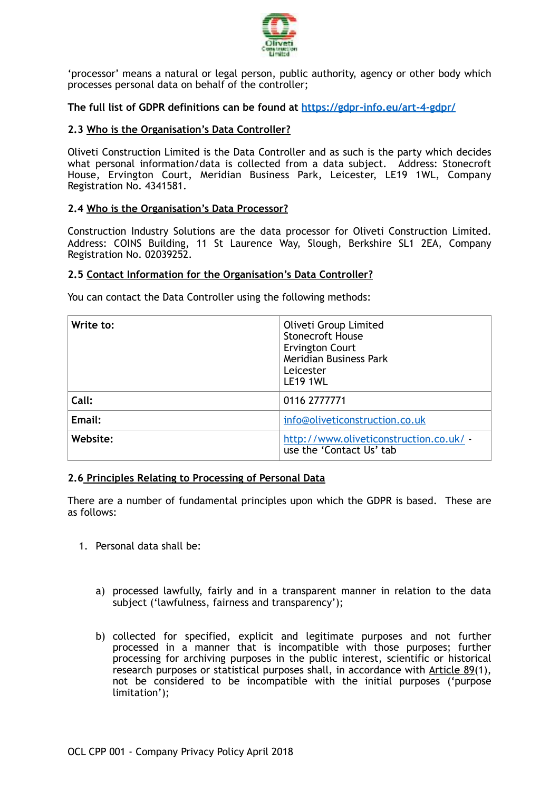

'processor' means a natural or legal person, public authority, agency or other body which processes personal data on behalf of the controller;

**The full list of GDPR definitions can be found at <https://gdpr-info.eu/art-4-gdpr/>**

# **2.3 Who is the Organisation's Data Controller?**

Oliveti Construction Limited is the Data Controller and as such is the party which decides what personal information/data is collected from a data subject. Address: Stonecroft House, Ervington Court, Meridian Business Park, Leicester, LE19 1WL, Company Registration No. 4341581.

# **2.4 Who is the Organisation's Data Processor?**

Construction Industry Solutions are the data processor for Oliveti Construction Limited. Address: COINS Building, 11 St Laurence Way, Slough, Berkshire SL1 2EA, Company Registration No. 02039252.

# **2.5 Contact Information for the Organisation's Data Controller?**

You can contact the Data Controller using the following methods:

| Write to: | Oliveti Group Limited<br><b>Stonecroft House</b><br><b>Ervington Court</b><br>Meridian Business Park<br>Leicester<br><b>LE19 1WL</b> |
|-----------|--------------------------------------------------------------------------------------------------------------------------------------|
| Call:     | 0116 2777771                                                                                                                         |
| Email:    | info@oliveticonstruction.co.uk                                                                                                       |
| Website:  | http://www.oliveticonstruction.co.uk/ -<br>use the 'Contact Us' tab                                                                  |

# **2.6 Principles Relating to Processing of Personal Data**

There are a number of fundamental principles upon which the GDPR is based. These are as follows:

- 1. Personal data shall be:
	- a) processed lawfully, fairly and in a transparent manner in relation to the data subject ('lawfulness, fairness and transparency');
	- b) collected for specified, explicit and legitimate purposes and not further processed in a manner that is incompatible with those purposes; further processing for archiving purposes in the public interest, scientific or historical research purposes or statistical purposes shall, in accordance with [Article 89](https://gdpr-info.eu/art-89-gdpr/)(1), not be considered to be incompatible with the initial purposes ('purpose limitation');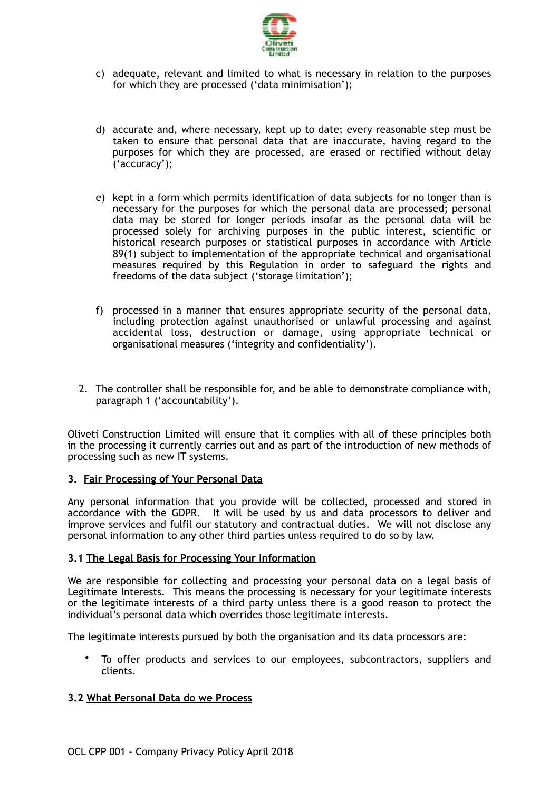

- c) adequate, relevant and limited to what is necessary in relation to the purposes for which they are processed ('data minimisation');
- d) accurate and, where necessary, kept up to date; every reasonable step must be taken to ensure that personal data that are inaccurate, having regard to the purposes for which they are processed, are erased or rectified without delay ('accuracy');
- e) kept in a form which permits identification of data subjects for no longer than is necessary for the purposes for which the personal data are processed; personal data may be stored for longer periods insofar as the personal data will be processed solely for archiving purposes in the public interest, scientific or historical research purposes or statistical purposes in accordance with [Article](https://gdpr-info.eu/art-89-gdpr/)  [89\(1](https://gdpr-info.eu/art-89-gdpr/)) subject to implementation of the appropriate technical and organisational measures required by this Regulation in order to safeguard the rights and freedoms of the data subject ('storage limitation');
- f) processed in a manner that ensures appropriate security of the personal data, including protection against unauthorised or unlawful processing and against accidental loss, destruction or damage, using appropriate technical or organisational measures ('integrity and confidentiality').
- 2. The controller shall be responsible for, and be able to demonstrate compliance with, paragraph 1 ('accountability').

Oliveti Construction Limited will ensure that it complies with all of these principles both in the processing it currently carries out and as part of the introduction of new methods of processing such as new IT systems.

# **3. Fair Processing of Your Personal Data**

Any personal information that you provide will be collected, processed and stored in accordance with the GDPR. It will be used by us and data processors to deliver and improve services and fulfil our statutory and contractual duties. We will not disclose any personal information to any other third parties unless required to do so by law.

# **3.1 The Legal Basis for Processing Your Information**

We are responsible for collecting and processing your personal data on a legal basis of Legitimate Interests. This means the processing is necessary for your legitimate interests or the legitimate interests of a third party unless there is a good reason to protect the individual's personal data which overrides those legitimate interests.

The legitimate interests pursued by both the organisation and its data processors are:

• To offer products and services to our employees, subcontractors, suppliers and clients.

# **3.2 What Personal Data do we Process**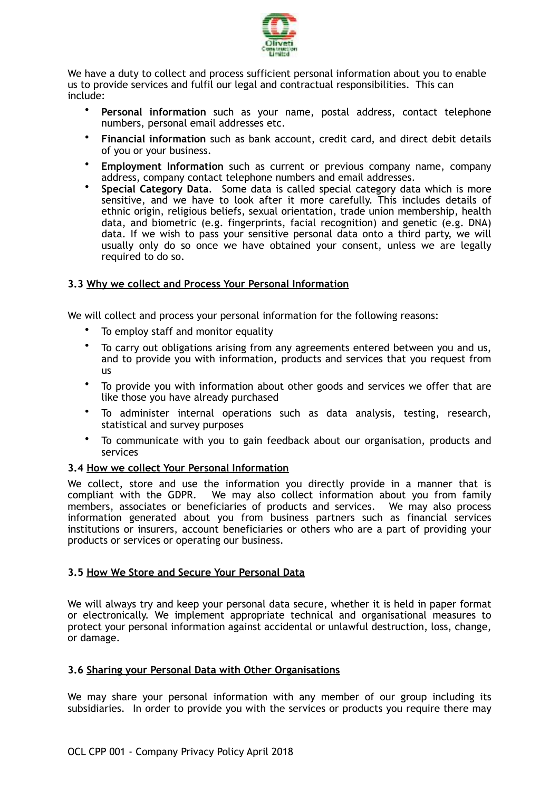

We have a duty to collect and process sufficient personal information about you to enable us to provide services and fulfil our legal and contractual responsibilities. This can include:

- **Personal information** such as your name, postal address, contact telephone numbers, personal email addresses etc.
- **Financial information** such as bank account, credit card, and direct debit details of you or your business.
- **Employment Information** such as current or previous company name, company address, company contact telephone numbers and email addresses.
- **Special Category Data**. Some data is called special category data which is more sensitive, and we have to look after it more carefully. This includes details of ethnic origin, religious beliefs, sexual orientation, trade union membership, health data, and biometric (e.g. fingerprints, facial recognition) and genetic (e.g. DNA) data. If we wish to pass your sensitive personal data onto a third party, we will usually only do so once we have obtained your consent, unless we are legally required to do so.

# **3.3 Why we collect and Process Your Personal Information**

We will collect and process your personal information for the following reasons:

- To employ staff and monitor equality
- To carry out obligations arising from any agreements entered between you and us, and to provide you with information, products and services that you request from us
- To provide you with information about other goods and services we offer that are like those you have already purchased
- To administer internal operations such as data analysis, testing, research, statistical and survey purposes
- To communicate with you to gain feedback about our organisation, products and services

# **3.4 How we collect Your Personal Information**

We collect, store and use the information you directly provide in a manner that is compliant with the GDPR. We may also collect information about you from family members, associates or beneficiaries of products and services. We may also process information generated about you from business partners such as financial services institutions or insurers, account beneficiaries or others who are a part of providing your products or services or operating our business.

# **3.5 How We Store and Secure Your Personal Data**

We will always try and keep your personal data secure, whether it is held in paper format or electronically. We implement appropriate technical and organisational measures to protect your personal information against accidental or unlawful destruction, loss, change, or damage.

# **3.6 Sharing your Personal Data with Other Organisations**

We may share your personal information with any member of our group including its subsidiaries. In order to provide you with the services or products you require there may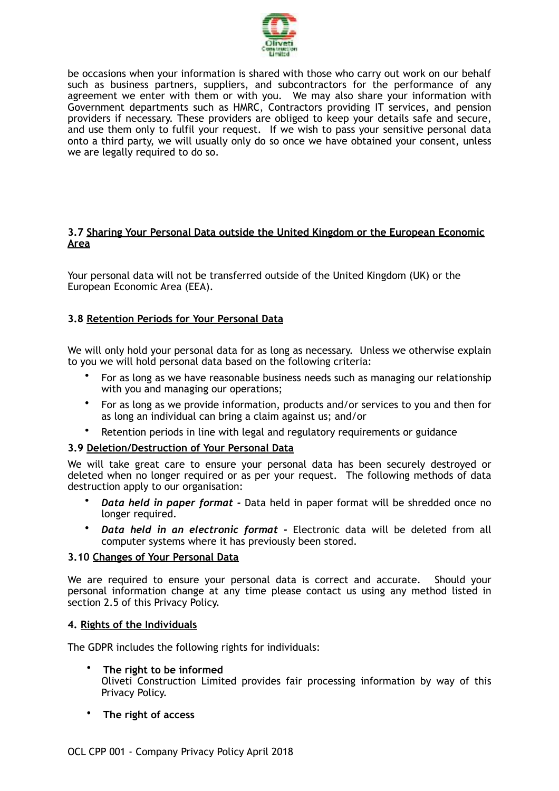

be occasions when your information is shared with those who carry out work on our behalf such as business partners, suppliers, and subcontractors for the performance of any agreement we enter with them or with you. We may also share your information with Government departments such as HMRC, Contractors providing IT services, and pension providers if necessary. These providers are obliged to keep your details safe and secure, and use them only to fulfil your request. If we wish to pass your sensitive personal data onto a third party, we will usually only do so once we have obtained your consent, unless we are legally required to do so.

## **3.7 Sharing Your Personal Data outside the United Kingdom or the European Economic Area**

Your personal data will not be transferred outside of the United Kingdom (UK) or the European Economic Area (EEA).

# **3.8 Retention Periods for Your Personal Data**

We will only hold your personal data for as long as necessary. Unless we otherwise explain to you we will hold personal data based on the following criteria:

- For as long as we have reasonable business needs such as managing our relationship with you and managing our operations;
- For as long as we provide information, products and/or services to you and then for as long an individual can bring a claim against us; and/or
- Retention periods in line with legal and regulatory requirements or guidance

# **3.9 Deletion/Destruction of Your Personal Data**

We will take great care to ensure your personal data has been securely destroyed or deleted when no longer required or as per your request. The following methods of data destruction apply to our organisation:

- *Data held in paper format* Data held in paper format will be shredded once no longer required.
- *Data held in an electronic format* Electronic data will be deleted from all computer systems where it has previously been stored.

#### **3.10 Changes of Your Personal Data**

We are required to ensure your personal data is correct and accurate. Should your personal information change at any time please contact us using any method listed in section 2.5 of this Privacy Policy.

#### **4. Rights of the Individuals**

The GDPR includes the following rights for individuals:

- **The right to be informed**  Oliveti Construction Limited provides fair processing information by way of this Privacy Policy.
- **The right of access**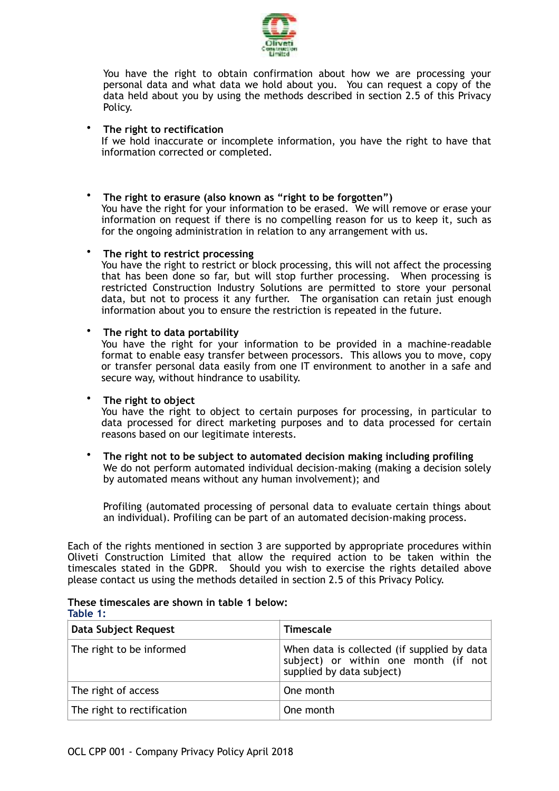

You have the right to obtain confirmation about how we are processing your personal data and what data we hold about you. You can request a copy of the data held about you by using the methods described in section 2.5 of this Privacy Policy.

## • **The right to rectification**

If we hold inaccurate or incomplete information, you have the right to have that information corrected or completed.

## • **The right to erasure (also known as "right to be forgotten")**

You have the right for your information to be erased. We will remove or erase your information on request if there is no compelling reason for us to keep it, such as for the ongoing administration in relation to any arrangement with us.

#### • **The right to restrict processing**

You have the right to restrict or block processing, this will not affect the processing that has been done so far, but will stop further processing. When processing is restricted Construction Industry Solutions are permitted to store your personal data, but not to process it any further. The organisation can retain just enough information about you to ensure the restriction is repeated in the future.

#### • **The right to data portability**

You have the right for your information to be provided in a machine-readable format to enable easy transfer between processors. This allows you to move, copy or transfer personal data easily from one IT environment to another in a safe and secure way, without hindrance to usability.

## • **The right to object**

You have the right to object to certain purposes for processing, in particular to data processed for direct marketing purposes and to data processed for certain reasons based on our legitimate interests.

• **The right not to be subject to automated decision making including profiling**  We do not perform automated individual decision-making (making a decision solely by automated means without any human involvement); and

Profiling (automated processing of personal data to evaluate certain things about an individual). Profiling can be part of an automated decision-making process.

Each of the rights mentioned in section 3 are supported by appropriate procedures within Oliveti Construction Limited that allow the required action to be taken within the timescales stated in the GDPR. Should you wish to exercise the rights detailed above please contact us using the methods detailed in section 2.5 of this Privacy Policy.

| Fable 1:                   |                                                                                                                  |
|----------------------------|------------------------------------------------------------------------------------------------------------------|
| Data Subject Request       | <b>Timescale</b>                                                                                                 |
| The right to be informed   | When data is collected (if supplied by data<br>subject) or within one month (if not<br>supplied by data subject) |
| The right of access        | One month                                                                                                        |
| The right to rectification | One month                                                                                                        |
|                            |                                                                                                                  |

**These timescales are shown in table 1 below: Table 1:**